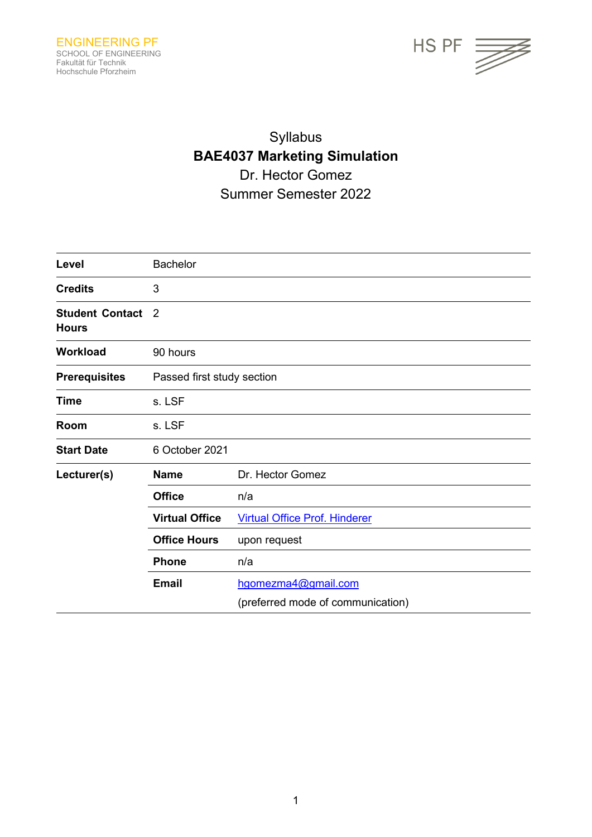

# Syllabus **BAE4037 Marketing Simulation** Dr. Hector Gomez Summer Semester 2022

| Level                                  | <b>Bachelor</b>            |                                      |  |  |
|----------------------------------------|----------------------------|--------------------------------------|--|--|
| <b>Credits</b>                         | 3                          |                                      |  |  |
| <b>Student Contact</b><br><b>Hours</b> | $\overline{2}$             |                                      |  |  |
| <b>Workload</b>                        | 90 hours                   |                                      |  |  |
| <b>Prerequisites</b>                   | Passed first study section |                                      |  |  |
| <b>Time</b>                            | s. LSF                     |                                      |  |  |
| Room                                   | s. LSF                     |                                      |  |  |
| <b>Start Date</b>                      | 6 October 2021             |                                      |  |  |
| Lecturer(s)                            | <b>Name</b>                | Dr. Hector Gomez                     |  |  |
|                                        | <b>Office</b>              | n/a                                  |  |  |
|                                        | <b>Virtual Office</b>      | <b>Virtual Office Prof. Hinderer</b> |  |  |
|                                        | <b>Office Hours</b>        | upon request                         |  |  |
|                                        | <b>Phone</b>               | n/a                                  |  |  |
| <b>Email</b>                           |                            | hgomezma4@gmail.com                  |  |  |
|                                        |                            | (preferred mode of communication)    |  |  |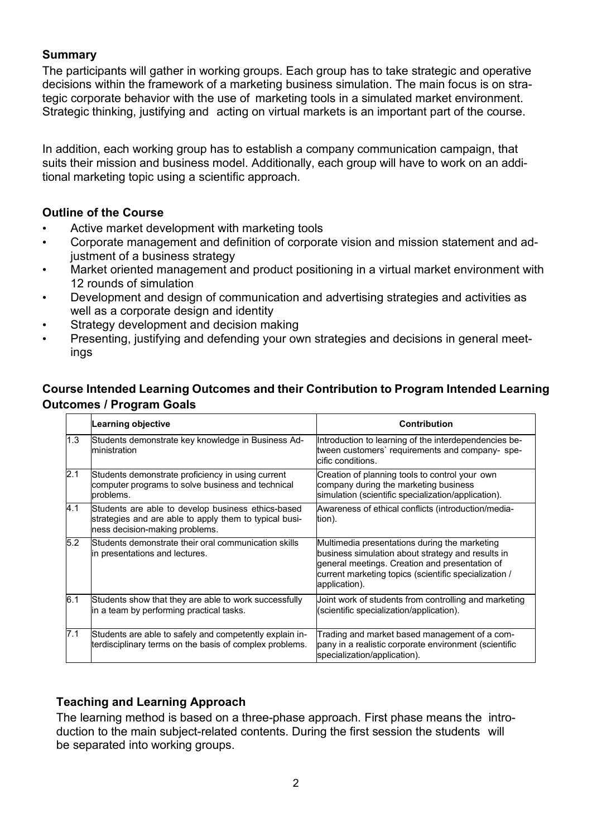## **Summary**

The participants will gather in working groups. Each group has to take strategic and operative decisions within the framework of a marketing business simulation. The main focus is on strategic corporate behavior with the use of marketing tools in a simulated market environment. Strategic thinking, justifying and acting on virtual markets is an important part of the course.

In addition, each working group has to establish a company communication campaign, that suits their mission and business model. Additionally, each group will have to work on an additional marketing topic using a scientific approach.

# **Outline of the Course**

- Active market development with marketing tools
- Corporate management and definition of corporate vision and mission statement and adjustment of a business strategy
- Market oriented management and product positioning in a virtual market environment with 12 rounds of simulation
- Development and design of communication and advertising strategies and activities as well as a corporate design and identity
- Strategy development and decision making
- Presenting, justifying and defending your own strategies and decisions in general meetings

# **Course Intended Learning Outcomes and their Contribution to Program Intended Learning Outcomes / Program Goals**

|     | Learning objective                                                                                                                             | <b>Contribution</b>                                                                                                                                                                                                            |
|-----|------------------------------------------------------------------------------------------------------------------------------------------------|--------------------------------------------------------------------------------------------------------------------------------------------------------------------------------------------------------------------------------|
| 1.3 | Students demonstrate key knowledge in Business Ad-<br>ministration                                                                             | Introduction to learning of the interdependencies be-<br>tween customers' requirements and company-spe-<br>cific conditions.                                                                                                   |
| 2.1 | Students demonstrate proficiency in using current<br>computer programs to solve business and technical<br>problems.                            | Creation of planning tools to control your own<br>company during the marketing business<br>simulation (scientific specialization/application).                                                                                 |
| 4.1 | Students are able to develop business ethics-based<br>strategies and are able to apply them to typical busi-<br>ness decision-making problems. | Awareness of ethical conflicts (introduction/media-<br>tion).                                                                                                                                                                  |
| 5.2 | Students demonstrate their oral communication skills<br>in presentations and lectures.                                                         | Multimedia presentations during the marketing<br>business simulation about strategy and results in<br>general meetings. Creation and presentation of<br>current marketing topics (scientific specialization /<br>application). |
| 6.1 | Students show that they are able to work successfully<br>in a team by performing practical tasks.                                              | Joint work of students from controlling and marketing<br>(scientific specialization/application).                                                                                                                              |
| 7.1 | Students are able to safely and competently explain in-<br>terdisciplinary terms on the basis of complex problems.                             | Trading and market based management of a com-<br>pany in a realistic corporate environment (scientific<br>specialization/application).                                                                                         |

# **Teaching and Learning Approach**

The learning method is based on a three-phase approach. First phase means the introduction to the main subject-related contents. During the first session the students will be separated into working groups.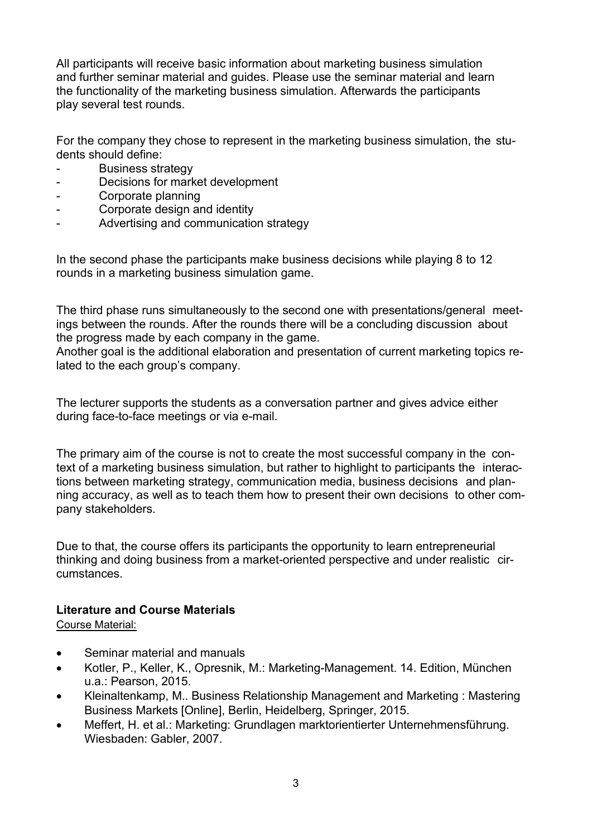All participants will receive basic information about marketing business simulation and further seminar material and guides. Please use the seminar material and learn the functionality of the marketing business simulation. Afterwards the participants play several test rounds.

For the company they chose to represent in the marketing business simulation, the students should define:

- Business strategy
- Decisions for market development
- Corporate planning
- Corporate design and identity
- Advertising and communication strategy

In the second phase the participants make business decisions while playing 8 to 12 rounds in a marketing business simulation game.

The third phase runs simultaneously to the second one with presentations/general meetings between the rounds. After the rounds there will be a concluding discussion about the progress made by each company in the game.

Another goal is the additional elaboration and presentation of current marketing topics related to the each group's company.

The lecturer supports the students as a conversation partner and gives advice either during face-to-face meetings or via e-mail.

The primary aim of the course is not to create the most successful company in the context of a marketing business simulation, but rather to highlight to participants the interactions between marketing strategy, communication media, business decisions and planning accuracy, as well as to teach them how to present their own decisions to other company stakeholders.

Due to that, the course offers its participants the opportunity to learn entrepreneurial thinking and doing business from a market-oriented perspective and under realistic circumstances.

## **Literature and Course Materials**

Course Material:

- Seminar material and manuals
- Kotler, P., Keller, K., Opresnik, M.: Marketing-Management. 14. Edition, München u.a.: Pearson, 2015.
- Kleinaltenkamp, M.. Business Relationship Management and Marketing : Mastering Business Markets [Online], Berlin, Heidelberg, Springer, 2015.
- Meffert, H. et al.: Marketing: Grundlagen marktorientierter Unternehmensführung. Wiesbaden: Gabler, 2007.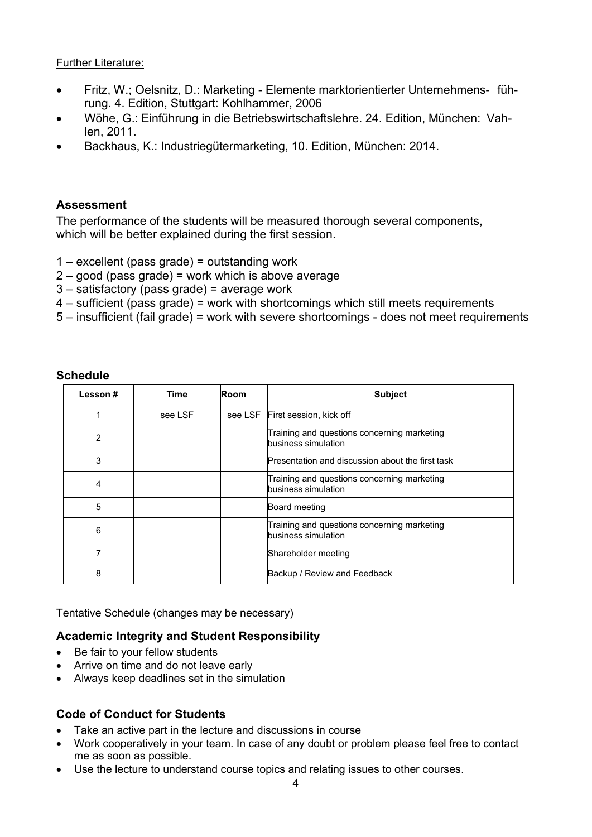#### Further Literature:

- Fritz, W.; Oelsnitz, D.: Marketing Elemente marktorientierter Unternehmens- führung. 4. Edition, Stuttgart: Kohlhammer, 2006
- Wöhe, G.: Einführung in die Betriebswirtschaftslehre. 24. Edition, München: Vahlen, 2011.
- Backhaus, K.: Industriegütermarketing, 10. Edition, München: 2014.

#### **Assessment**

The performance of the students will be measured thorough several components, which will be better explained during the first session.

- 1 excellent (pass grade) = outstanding work
- 2 good (pass grade) = work which is above average
- 3 satisfactory (pass grade) = average work
- 4 sufficient (pass grade) = work with shortcomings which still meets requirements
- 5 insufficient (fail grade) = work with severe shortcomings does not meet requirements

| Lesson# | Time    | Room | <b>Subject</b>                                                     |
|---------|---------|------|--------------------------------------------------------------------|
|         | see LSF |      | see LSF First session, kick off                                    |
| 2       |         |      | Training and questions concerning marketing<br>business simulation |
| 3       |         |      | Presentation and discussion about the first task                   |
| 4       |         |      | Training and questions concerning marketing<br>business simulation |
| 5       |         |      | Board meeting                                                      |
| 6       |         |      | Training and questions concerning marketing<br>business simulation |
| 7       |         |      | Shareholder meeting                                                |
| 8       |         |      | Backup / Review and Feedback                                       |

#### **Schedule**

Tentative Schedule (changes may be necessary)

#### **Academic Integrity and Student Responsibility**

- Be fair to your fellow students
- Arrive on time and do not leave early
- Always keep deadlines set in the simulation

#### **Code of Conduct for Students**

- Take an active part in the lecture and discussions in course
- Work cooperatively in your team. In case of any doubt or problem please feel free to contact me as soon as possible.
- Use the lecture to understand course topics and relating issues to other courses.